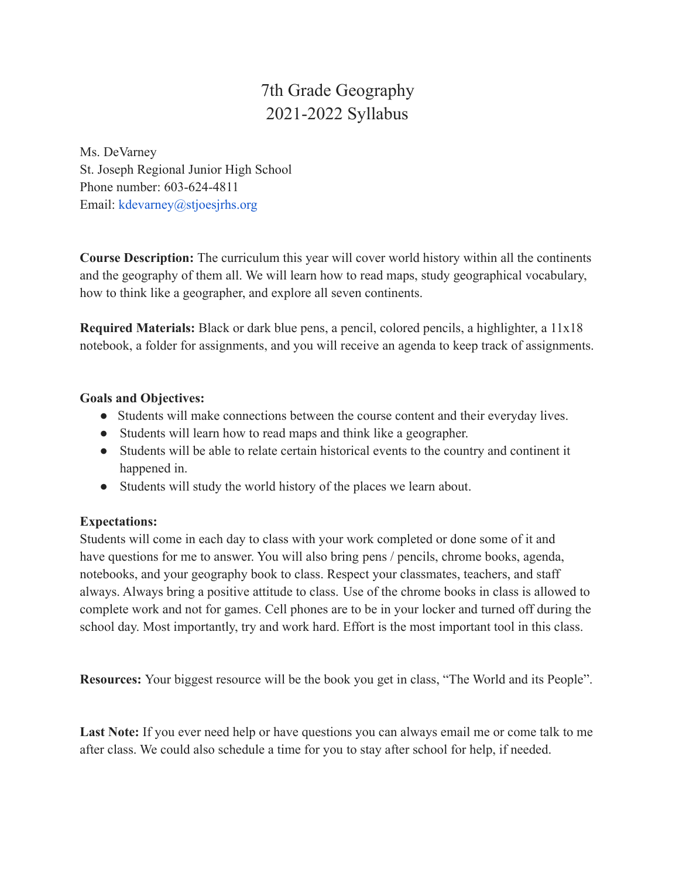# 7th Grade Geography 2021-2022 Syllabus

Ms. DeVarney St. Joseph Regional Junior High School Phone number: 603-624-4811 Email: kdevarney@stjoesjrhs.org

**Course Description:** The curriculum this year will cover world history within all the continents and the geography of them all. We will learn how to read maps, study geographical vocabulary, how to think like a geographer, and explore all seven continents.

**Required Materials:** Black or dark blue pens, a pencil, colored pencils, a highlighter, a 11x18 notebook, a folder for assignments, and you will receive an agenda to keep track of assignments.

# **Goals and Objectives:**

- Students will make connections between the course content and their everyday lives.
- Students will learn how to read maps and think like a geographer.
- Students will be able to relate certain historical events to the country and continent it happened in.
- Students will study the world history of the places we learn about.

# **Expectations:**

Students will come in each day to class with your work completed or done some of it and have questions for me to answer. You will also bring pens / pencils, chrome books, agenda, notebooks, and your geography book to class. Respect your classmates, teachers, and staff always. Always bring a positive attitude to class. Use of the chrome books in class is allowed to complete work and not for games. Cell phones are to be in your locker and turned off during the school day. Most importantly, try and work hard. Effort is the most important tool in this class.

**Resources:** Your biggest resource will be the book you get in class, "The World and its People".

Last Note: If you ever need help or have questions you can always email me or come talk to me after class. We could also schedule a time for you to stay after school for help, if needed.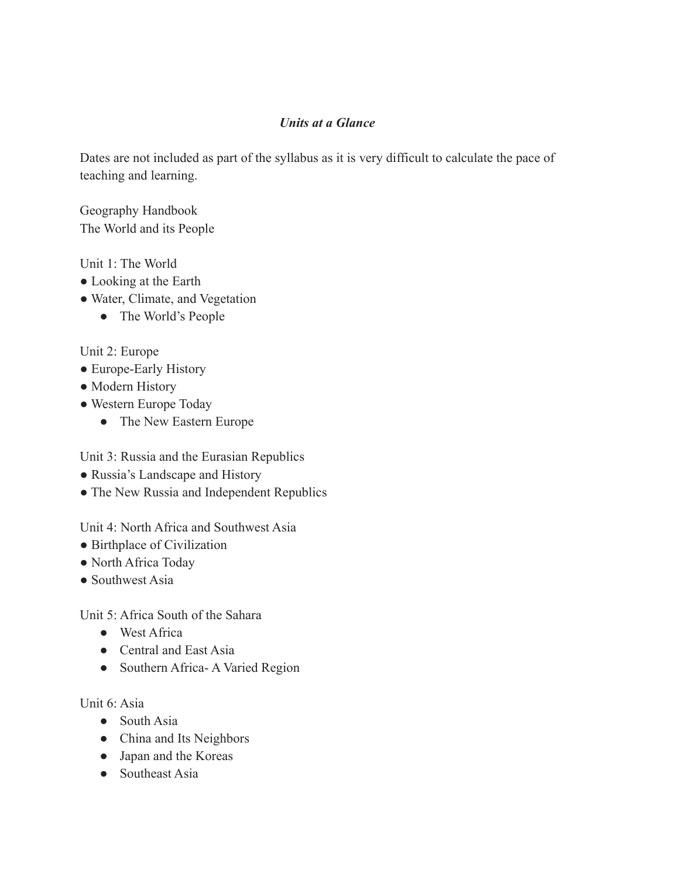# *Units at a Glance*

Dates are not included as part of the syllabus as it is very difficult to calculate the pace of teaching and learning.

Geography Handbook The World and its People

#### Unit 1: The World

- Looking at the Earth
- Water, Climate, and Vegetation
	- The World's People

# Unit 2: Europe

- Europe-Early History
- Modern History
- Western Europe Today
	- The New Eastern Europe

Unit 3: Russia and the Eurasian Republics

- Russia's Landscape and History
- The New Russia and Independent Republics

Unit 4: North Africa and Southwest Asia

- Birthplace of Civilization
- North Africa Today
- Southwest Asia

Unit 5: Africa South of the Sahara

- West Africa
- Central and East Asia
- Southern Africa- A Varied Region

Unit 6: Asia

- South Asia
- China and Its Neighbors
- Japan and the Koreas
- Southeast Asia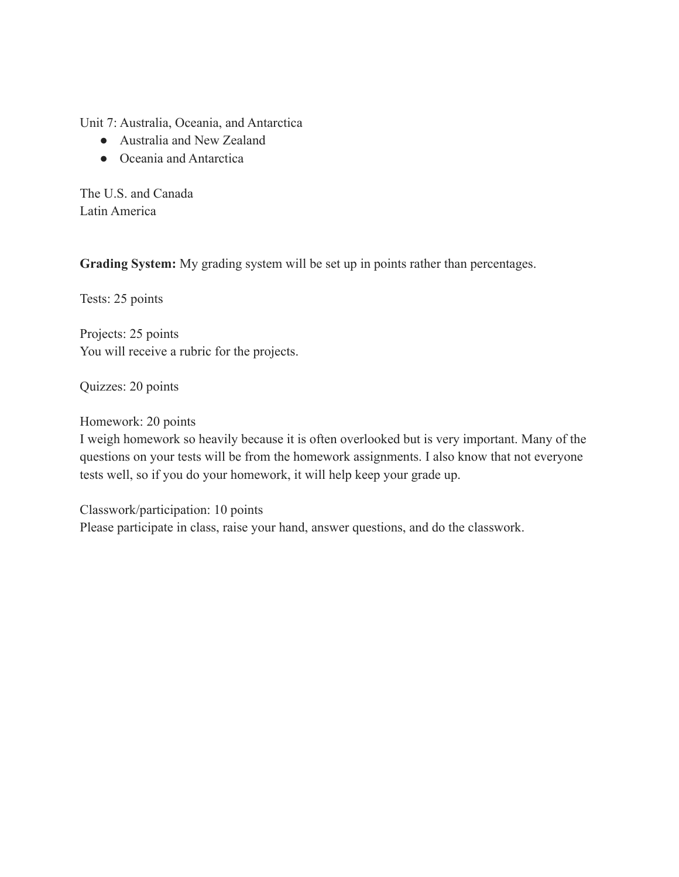Unit 7: Australia, Oceania, and Antarctica

- Australia and New Zealand
- Oceania and Antarctica

The U.S. and Canada Latin America

**Grading System:** My grading system will be set up in points rather than percentages.

Tests: 25 points

Projects: 25 points You will receive a rubric for the projects.

Quizzes: 20 points

Homework: 20 points

I weigh homework so heavily because it is often overlooked but is very important. Many of the questions on your tests will be from the homework assignments. I also know that not everyone tests well, so if you do your homework, it will help keep your grade up.

Classwork/participation: 10 points Please participate in class, raise your hand, answer questions, and do the classwork.